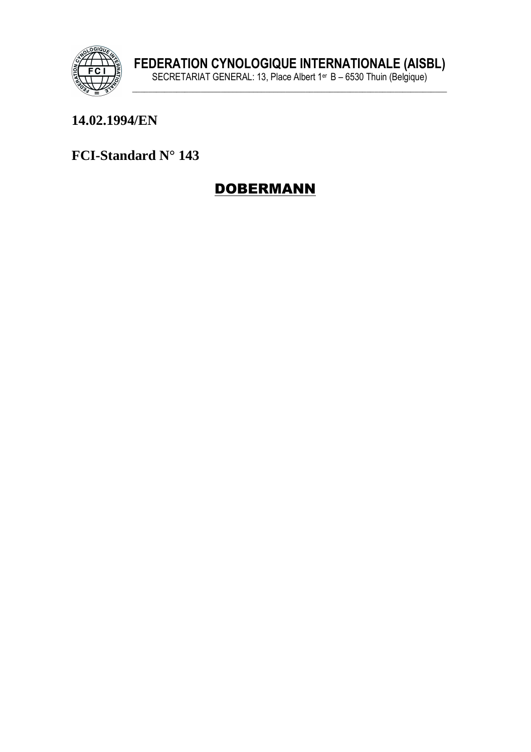

#### 14.02.1994/EN

FCI-Standard N° 143

## **DOBERMANN**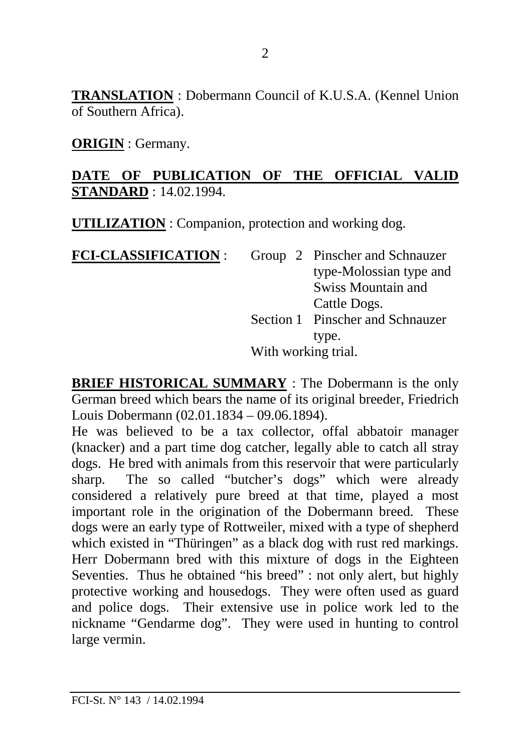**TRANSLATION** : Dobermann Council of K.U.S.A. (Kennel Union of Southern Africa).

**ORIGIN** : Germany.

#### **DATE OF PUBLICATION OF THE OFFICIAL VALID STANDARD** : 14.02.1994.

**UTILIZATION** : Companion, protection and working dog.

**FCI-CLASSIFICATION** : Group 2 Pinscher and Schnauzer type-Molossian type and Swiss Mountain and Cattle Dogs. Section 1 Pinscher and Schnauzer type. With working trial.

**BRIEF HISTORICAL SUMMARY** : The Dobermann is the only German breed which bears the name of its original breeder, Friedrich Louis Dobermann (02.01.1834 – 09.06.1894).

He was believed to be a tax collector, offal abbatoir manager (knacker) and a part time dog catcher, legally able to catch all stray dogs. He bred with animals from this reservoir that were particularly sharp. The so called "butcher's dogs" which were already considered a relatively pure breed at that time, played a most important role in the origination of the Dobermann breed. These dogs were an early type of Rottweiler, mixed with a type of shepherd which existed in "Thüringen" as a black dog with rust red markings. Herr Dobermann bred with this mixture of dogs in the Eighteen Seventies. Thus he obtained "his breed" : not only alert, but highly protective working and housedogs. They were often used as guard and police dogs. Their extensive use in police work led to the nickname "Gendarme dog". They were used in hunting to control large vermin.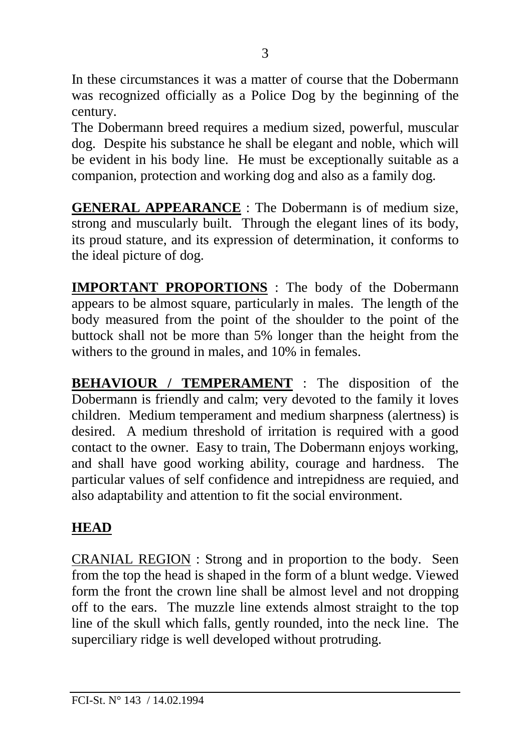In these circumstances it was a matter of course that the Dobermann was recognized officially as a Police Dog by the beginning of the century.

The Dobermann breed requires a medium sized, powerful, muscular dog. Despite his substance he shall be elegant and noble, which will be evident in his body line. He must be exceptionally suitable as a companion, protection and working dog and also as a family dog.

**GENERAL APPEARANCE** : The Dobermann is of medium size, strong and muscularly built. Through the elegant lines of its body, its proud stature, and its expression of determination, it conforms to the ideal picture of dog.

**IMPORTANT PROPORTIONS** : The body of the Dobermann appears to be almost square, particularly in males. The length of the body measured from the point of the shoulder to the point of the buttock shall not be more than 5% longer than the height from the withers to the ground in males, and 10% in females.

**BEHAVIOUR / TEMPERAMENT** : The disposition of the Dobermann is friendly and calm; very devoted to the family it loves children. Medium temperament and medium sharpness (alertness) is desired. A medium threshold of irritation is required with a good contact to the owner. Easy to train, The Dobermann enjoys working, and shall have good working ability, courage and hardness. The particular values of self confidence and intrepidness are requied, and also adaptability and attention to fit the social environment.

#### **HEAD**

CRANIAL REGION : Strong and in proportion to the body. Seen from the top the head is shaped in the form of a blunt wedge. Viewed form the front the crown line shall be almost level and not dropping off to the ears. The muzzle line extends almost straight to the top line of the skull which falls, gently rounded, into the neck line. The superciliary ridge is well developed without protruding.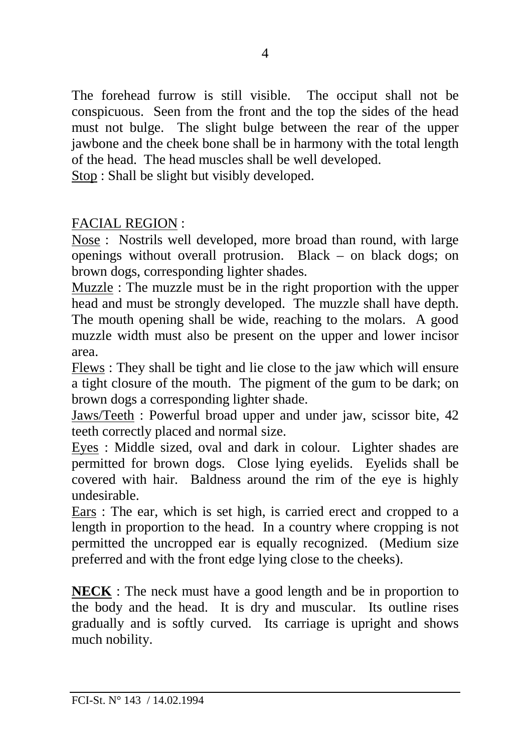The forehead furrow is still visible. The occiput shall not be conspicuous. Seen from the front and the top the sides of the head must not bulge. The slight bulge between the rear of the upper jawbone and the cheek bone shall be in harmony with the total length of the head. The head muscles shall be well developed.

Stop : Shall be slight but visibly developed.

## FACIAL REGION :

Nose : Nostrils well developed, more broad than round, with large openings without overall protrusion. Black – on black dogs; on brown dogs, corresponding lighter shades.

Muzzle : The muzzle must be in the right proportion with the upper head and must be strongly developed. The muzzle shall have depth. The mouth opening shall be wide, reaching to the molars. A good muzzle width must also be present on the upper and lower incisor area.

Flews : They shall be tight and lie close to the jaw which will ensure a tight closure of the mouth. The pigment of the gum to be dark; on brown dogs a corresponding lighter shade.

Jaws/Teeth : Powerful broad upper and under jaw, scissor bite, 42 teeth correctly placed and normal size.

Eyes : Middle sized, oval and dark in colour. Lighter shades are permitted for brown dogs. Close lying eyelids. Eyelids shall be covered with hair. Baldness around the rim of the eye is highly undesirable.

Ears : The ear, which is set high, is carried erect and cropped to a length in proportion to the head. In a country where cropping is not permitted the uncropped ear is equally recognized. (Medium size preferred and with the front edge lying close to the cheeks).

**NECK** : The neck must have a good length and be in proportion to the body and the head. It is dry and muscular. Its outline rises gradually and is softly curved. Its carriage is upright and shows much nobility.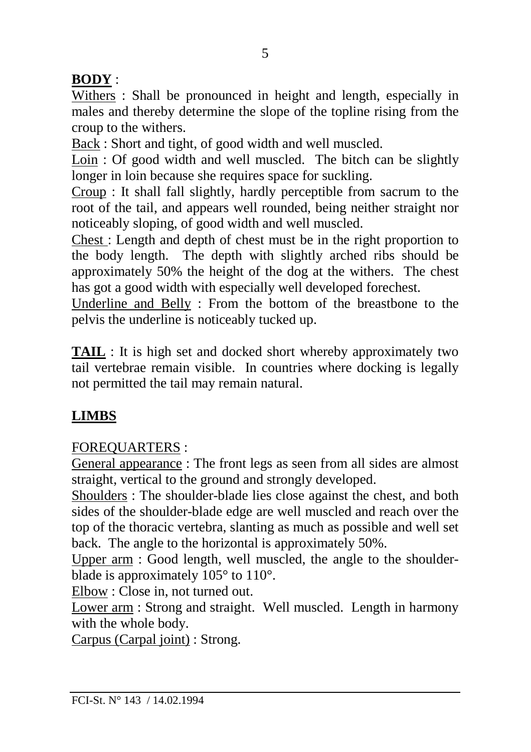## **BODY** :

Withers : Shall be pronounced in height and length, especially in males and thereby determine the slope of the topline rising from the croup to the withers.

Back : Short and tight, of good width and well muscled.

Loin : Of good width and well muscled. The bitch can be slightly longer in loin because she requires space for suckling.

Croup : It shall fall slightly, hardly perceptible from sacrum to the root of the tail, and appears well rounded, being neither straight nor noticeably sloping, of good width and well muscled.

Chest : Length and depth of chest must be in the right proportion to the body length. The depth with slightly arched ribs should be approximately 50% the height of the dog at the withers. The chest has got a good width with especially well developed forechest.

Underline and Belly : From the bottom of the breastbone to the pelvis the underline is noticeably tucked up.

**TAIL** : It is high set and docked short whereby approximately two tail vertebrae remain visible. In countries where docking is legally not permitted the tail may remain natural.

# **LIMBS**

## FOREQUARTERS :

General appearance : The front legs as seen from all sides are almost straight, vertical to the ground and strongly developed.

Shoulders: The shoulder-blade lies close against the chest, and both sides of the shoulder-blade edge are well muscled and reach over the top of the thoracic vertebra, slanting as much as possible and well set back. The angle to the horizontal is approximately 50%.

Upper arm : Good length, well muscled, the angle to the shoulderblade is approximately 105° to 110°.

Elbow : Close in, not turned out.

Lower arm : Strong and straight. Well muscled. Length in harmony with the whole body.

Carpus (Carpal joint) : Strong.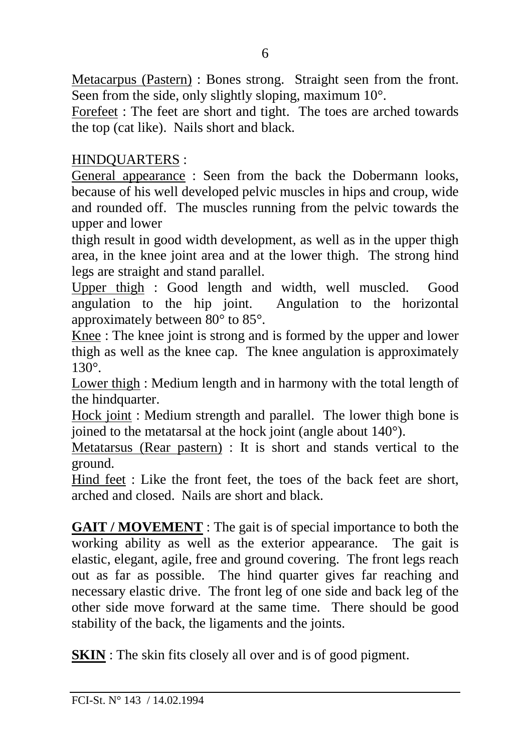Metacarpus (Pastern) : Bones strong. Straight seen from the front. Seen from the side, only slightly sloping, maximum 10°.

Forefeet : The feet are short and tight. The toes are arched towards the top (cat like). Nails short and black.

#### HINDQUARTERS :

General appearance : Seen from the back the Dobermann looks, because of his well developed pelvic muscles in hips and croup, wide and rounded off. The muscles running from the pelvic towards the upper and lower

thigh result in good width development, as well as in the upper thigh area, in the knee joint area and at the lower thigh. The strong hind legs are straight and stand parallel.

Upper thigh : Good length and width, well muscled. Good angulation to the hip joint. Angulation to the horizontal approximately between 80° to 85°.

Knee : The knee joint is strong and is formed by the upper and lower thigh as well as the knee cap. The knee angulation is approximately 130°.

Lower thigh : Medium length and in harmony with the total length of the hindquarter.

Hock joint : Medium strength and parallel. The lower thigh bone is joined to the metatarsal at the hock joint (angle about 140°).

Metatarsus (Rear pastern) : It is short and stands vertical to the ground.

Hind feet : Like the front feet, the toes of the back feet are short, arched and closed. Nails are short and black.

**GAIT / MOVEMENT** : The gait is of special importance to both the working ability as well as the exterior appearance. The gait is elastic, elegant, agile, free and ground covering. The front legs reach out as far as possible. The hind quarter gives far reaching and necessary elastic drive. The front leg of one side and back leg of the other side move forward at the same time. There should be good stability of the back, the ligaments and the joints.

**SKIN** : The skin fits closely all over and is of good pigment.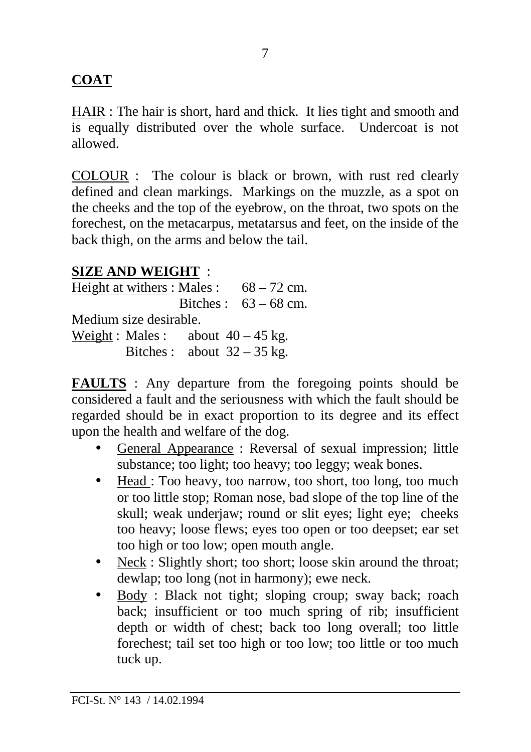## **COAT**

HAIR : The hair is short, hard and thick. It lies tight and smooth and is equally distributed over the whole surface. Undercoat is not allowed.

COLOUR : The colour is black or brown, with rust red clearly defined and clean markings. Markings on the muzzle, as a spot on the cheeks and the top of the eyebrow, on the throat, two spots on the forechest, on the metacarpus, metatarsus and feet, on the inside of the back thigh, on the arms and below the tail.

#### **SIZE AND WEIGHT** :

Height at withers : Males :  $68 - 72$  cm. Bitches  $\cdot$  63 – 68 cm. Medium size desirable. Weight : Males : about  $40 - 45$  kg. Bitches : about  $32 - 35$  kg.

**FAULTS** : Any departure from the foregoing points should be considered a fault and the seriousness with which the fault should be regarded should be in exact proportion to its degree and its effect upon the health and welfare of the dog.

- General Appearance : Reversal of sexual impression; little substance; too light; too heavy; too leggy; weak bones.
- Head : Too heavy, too narrow, too short, too long, too much or too little stop; Roman nose, bad slope of the top line of the skull; weak underjaw; round or slit eyes; light eye; cheeks too heavy; loose flews; eyes too open or too deepset; ear set too high or too low; open mouth angle.
- Neck : Slightly short; too short; loose skin around the throat; dewlap; too long (not in harmony); ewe neck.
- Body : Black not tight; sloping croup; sway back; roach back; insufficient or too much spring of rib; insufficient depth or width of chest; back too long overall; too little forechest; tail set too high or too low; too little or too much tuck up.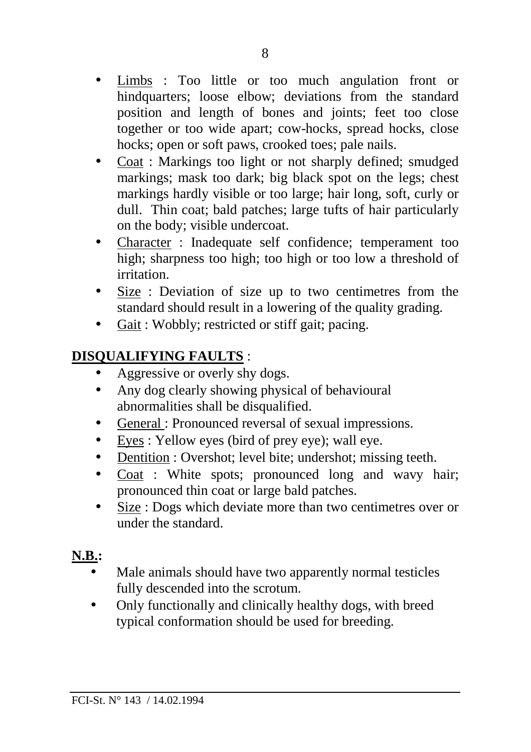- Limbs : Too little or too much angulation front or hindquarters; loose elbow; deviations from the standard position and length of bones and joints; feet too close together or too wide apart; cow-hocks, spread hocks, close hocks; open or soft paws, crooked toes; pale nails.
- Coat : Markings too light or not sharply defined; smudged markings; mask too dark; big black spot on the legs; chest markings hardly visible or too large; hair long, soft, curly or dull. Thin coat; bald patches; large tufts of hair particularly on the body; visible undercoat.
- Character : Inadequate self confidence; temperament too high; sharpness too high; too high or too low a threshold of irritation.
- Size : Deviation of size up to two centimetres from the standard should result in a lowering of the quality grading.
- Gait : Wobbly; restricted or stiff gait; pacing.

## **DISQUALIFYING FAULTS** :

- Aggressive or overly shy dogs.
- Any dog clearly showing physical of behavioural abnormalities shall be disqualified.
- General : Pronounced reversal of sexual impressions.
- Eyes : Yellow eyes (bird of prey eye); wall eye.
- Dentition : Overshot; level bite; undershot; missing teeth.
- Coat : White spots; pronounced long and wavy hair; pronounced thin coat or large bald patches.
- Size : Dogs which deviate more than two centimetres over or under the standard.

# **N.B.:**

- Male animals should have two apparently normal testicles fully descended into the scrotum.
- Only functionally and clinically healthy dogs, with breed typical conformation should be used for breeding.